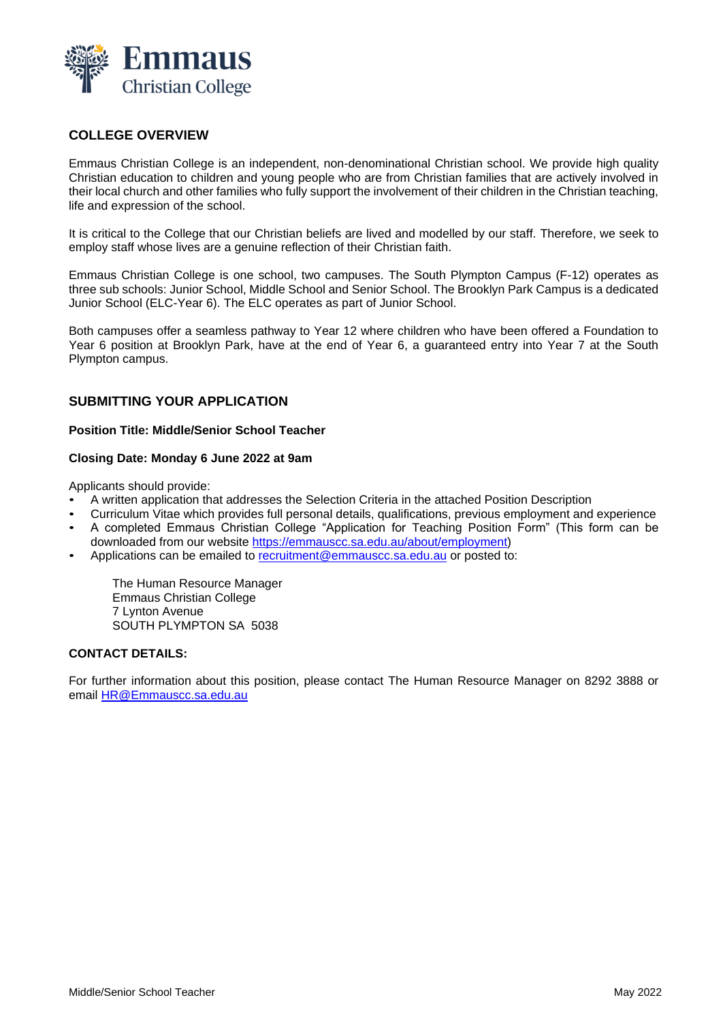

# **COLLEGE OVERVIEW**

Emmaus Christian College is an independent, non-denominational Christian school. We provide high quality Christian education to children and young people who are from Christian families that are actively involved in their local church and other families who fully support the involvement of their children in the Christian teaching, life and expression of the school.

It is critical to the College that our Christian beliefs are lived and modelled by our staff. Therefore, we seek to employ staff whose lives are a genuine reflection of their Christian faith.

Emmaus Christian College is one school, two campuses. The South Plympton Campus (F-12) operates as three sub schools: Junior School, Middle School and Senior School. The Brooklyn Park Campus is a dedicated Junior School (ELC-Year 6). The ELC operates as part of Junior School.

Both campuses offer a seamless pathway to Year 12 where children who have been offered a Foundation to Year 6 position at Brooklyn Park, have at the end of Year 6, a guaranteed entry into Year 7 at the South Plympton campus.

## **SUBMITTING YOUR APPLICATION**

#### **Position Title: Middle/Senior School Teacher**

#### **Closing Date: Monday 6 June 2022 at 9am**

Applicants should provide:

- A written application that addresses the Selection Criteria in the attached Position Description
- Curriculum Vitae which provides full personal details, qualifications, previous employment and experience
- A completed Emmaus Christian College "Application for Teaching Position Form" (This form can be downloaded from our website [https://emmauscc.sa.edu.au/about/employment\)](https://emmauscc.sa.edu.au/about/employment)
- Applications can be emailed to [recruitment@emmauscc.sa.edu.au](mailto:recruitment@emmauscc.sa.edu.au) or posted to:

The Human Resource Manager Emmaus Christian College 7 Lynton Avenue SOUTH PLYMPTON SA 5038

#### **CONTACT DETAILS:**

For further information about this position, please contact The Human Resource Manager on 8292 3888 or email [HR@Emmauscc.sa.edu.au](mailto:HR@Emmauscc.sa.edu.au)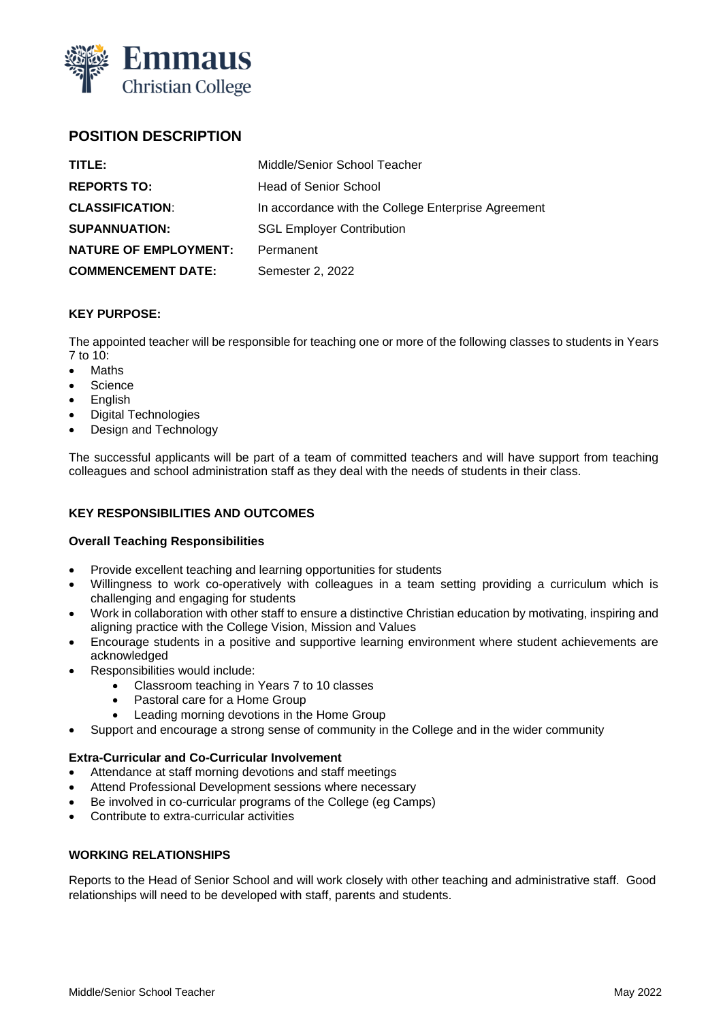

# **POSITION DESCRIPTION**

| TITLE:                       | Middle/Senior School Teacher                        |
|------------------------------|-----------------------------------------------------|
| <b>REPORTS TO:</b>           | <b>Head of Senior School</b>                        |
| <b>CLASSIFICATION:</b>       | In accordance with the College Enterprise Agreement |
| <b>SUPANNUATION:</b>         | <b>SGL Employer Contribution</b>                    |
| <b>NATURE OF EMPLOYMENT:</b> | Permanent                                           |
| <b>COMMENCEMENT DATE:</b>    | Semester 2, 2022                                    |

## **KEY PURPOSE:**

The appointed teacher will be responsible for teaching one or more of the following classes to students in Years 7 to 10:

- Maths
- **Science**
- English
- Digital Technologies
- Design and Technology

The successful applicants will be part of a team of committed teachers and will have support from teaching colleagues and school administration staff as they deal with the needs of students in their class.

# **KEY RESPONSIBILITIES AND OUTCOMES**

## **Overall Teaching Responsibilities**

- Provide excellent teaching and learning opportunities for students
- Willingness to work co-operatively with colleagues in a team setting providing a curriculum which is challenging and engaging for students
- Work in collaboration with other staff to ensure a distinctive Christian education by motivating, inspiring and aligning practice with the College Vision, Mission and Values
- Encourage students in a positive and supportive learning environment where student achievements are acknowledged
- Responsibilities would include:
	- Classroom teaching in Years 7 to 10 classes
	- Pastoral care for a Home Group
	- Leading morning devotions in the Home Group
- Support and encourage a strong sense of community in the College and in the wider community

#### **Extra-Curricular and Co-Curricular Involvement**

- Attendance at staff morning devotions and staff meetings
- Attend Professional Development sessions where necessary
- Be involved in co-curricular programs of the College (eg Camps)
- Contribute to extra-curricular activities

## **WORKING RELATIONSHIPS**

Reports to the Head of Senior School and will work closely with other teaching and administrative staff. Good relationships will need to be developed with staff, parents and students.